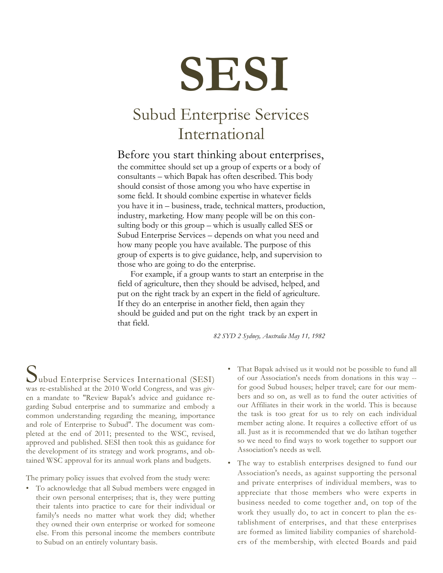# **SESI**

## Subud Enterprise Services International

### Before you start thinking about enterprises,

the committee should set up a group of experts or a body of consultants – which Bapak has often described. This body should consist of those among you who have expertise in some field. It should combine expertise in whatever fields you have it in – business, trade, technical matters, production, industry, marketing. How many people will be on this consulting body or this group – which is usually called SES or Subud Enterprise Services – depends on what you need and how many people you have available. The purpose of this group of experts is to give guidance, help, and supervision to those who are going to do the enterprise.

For example, if a group wants to start an enterprise in the field of agriculture, then they should be advised, helped, and put on the right track by an expert in the field of agriculture. If they do an enterprise in another field, then again they should be guided and put on the right track by an expert in that field.

*82 SYD 2 Sydney, Australia May 11, 1982*

was re-established at the 2010 World Congress, and was given a mandate to "Review Bapak's advice and guidance regarding Subud enterprise and to summarize and embody a common understanding regarding the meaning, importance and role of Enterprise to Subud". The document was completed at the end of 2011; presented to the WSC, revised, approved and published. SESI then took this as guidance for the development of its strategy and work programs, and obtained WSC approval for its annual work plans and budgets. Uubud Enterprise Services International (SESI)

The primary policy issues that evolved from the study were:

- To acknowledge that all Subud members were engaged in their own personal enterprises; that is, they were putting their talents into practice to care for their individual or family's needs no matter what work they did; whether they owned their own enterprise or worked for someone else. From this personal income the members contribute to Subud on an entirely voluntary basis.
- That Bapak advised us it would not be possible to fund all of our Association's needs from donations in this way - for good Subud houses; helper travel; care for our members and so on, as well as to fund the outer activities of our Affiliates in their work in the world. This is because the task is too great for us to rely on each individual member acting alone. It requires a collective effort of us all. Just as it is recommended that we do latihan together so we need to find ways to work together to support our Association's needs as well.
- The way to establish enterprises designed to fund our Association's needs, as against supporting the personal and private enterprises of individual members, was to appreciate that those members who were experts in business needed to come together and, on top of the work they usually do, to act in concert to plan the establishment of enterprises, and that these enterprises are formed as limited liability companies of shareholders of the membership, with elected Boards and paid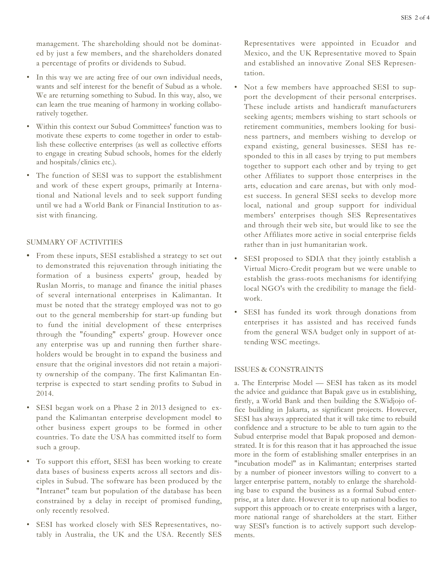management. The shareholding should not be dominated by just a few members, and the shareholders donated a percentage of profits or dividends to Subud.

- In this way we are acting free of our own individual needs, wants and self interest for the benefit of Subud as a whole. We are returning something to Subud. In this way, also, we can learn the true meaning of harmony in working collaboratively together.
- Within this context our Subud Committees' function was to motivate these experts to come together in order to establish these collective enterprises (as well as collective efforts to engage in creating Subud schools, homes for the elderly and hospitals/clinics etc.).
- The function of SESI was to support the establishment and work of these expert groups, primarily at International and National levels and to seek support funding until we had a World Bank or Financial Institution to assist with financing.

#### SUMMARY OF ACTIVITIES

- **•** From these inputs, SESI established a strategy to set out to demonstrated this rejuvenation through initiating the formation of a business experts' group, headed by Ruslan Morris, to manage and finance the initial phases of several international enterprises in Kalimantan. It must be noted that the strategy employed was not to go out to the general membership for start-up funding but to fund the initial development of these enterprises through the "founding" experts' group. However once any enterprise was up and running then further shareholders would be brought in to expand the business and ensure that the original investors did not retain a majority ownership of the company. The first Kalimantan Enterprise is expected to start sending profits to Subud in 2014.
- SESI began work on a Phase 2 in 2013 designed to expand the Kalimantan enterprise development model **t**o other business expert groups to be formed in other countries. To date the USA has committed itself to form such a group.
- To support this effort, SESI has been working to create data bases of business experts across all sectors and disciples in Subud. The software has been produced by the "Intranet" team but population of the database has been constrained by a delay in receipt of promised funding, only recently resolved.
- SESI has worked closely with SES Representatives, notably in Australia, the UK and the USA. Recently SES

Representatives were appointed in Ecuador and Mexico, and the UK Representative moved to Spain and established an innovative Zonal SES Representation.

- Not a few members have approached SESI to support the development of their personal enterprises. These include artists and handicraft manufacturers seeking agents; members wishing to start schools or retirement communities, members looking for business partners, and members wishing to develop or expand existing, general businesses. SESI has responded to this in all cases by trying to put members together to support each other and by trying to get other Affiliates to support those enterprises in the arts, education and care arenas, but with only modest success. In general SESI seeks to develop more local, national and group support for individual members' enterprises though SES Representatives and through their web site, but would like to see the other Affiliates more active in social enterprise fields rather than in just humanitarian work.
- SESI proposed to SDIA that they jointly establish a Virtual Micro-Credit program but we were unable to establish the grass-roots mechanisms for identifying local NGO's with the credibility to manage the fieldwork.
- SESI has funded its work through donations from enterprises it has assisted and has received funds from the general WSA budget only in support of attending WSC meetings.

#### ISSUES & CONSTRAINTS

a. The Enterprise Model — SESI has taken as its model the advice and guidance that Bapak gave us in establishing, firstly, a World Bank and then building the S.Widjojo office building in Jakarta, as significant projects. However, SESI has always appreciated that it will take time to rebuild confidence and a structure to be able to turn again to the Subud enterprise model that Bapak proposed and demonstrated. It is for this reason that it has approached the issue more in the form of establishing smaller enterprises in an "incubation model" as in Kalimantan; enterprises started by a number of pioneer investors willing to convert to a larger enterprise pattern, notably to enlarge the shareholding base to expand the business as a formal Subud enterprise, at a later date. However it is to up national bodies to support this approach or to create enterprises with a larger, more national range of shareholders at the start. Either way SESI's function is to actively support such developments.